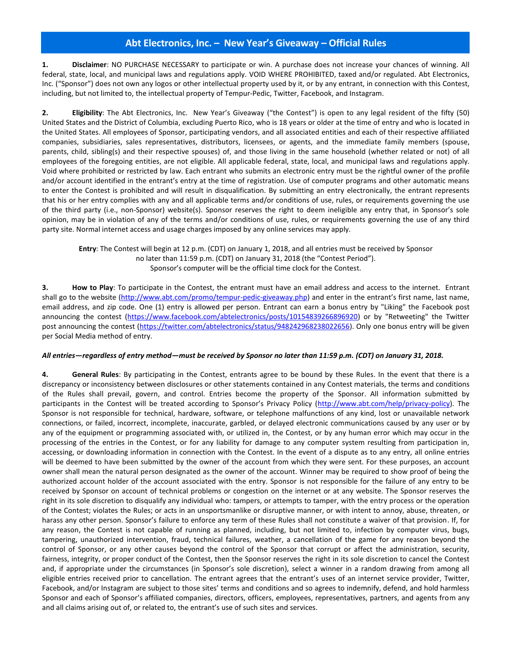## **Abt Electronics, Inc. – New Year's Giveaway – Official Rules**

**1. Disclaimer**: NO PURCHASE NECESSARY to participate or win. A purchase does not increase your chances of winning. All federal, state, local, and municipal laws and regulations apply. VOID WHERE PROHIBITED, taxed and/or regulated. Abt Electronics, Inc. ("Sponsor") does not own any logos or other intellectual property used by it, or by any entrant, in connection with this Contest, including, but not limited to, the intellectual property of Tempur-Pedic, Twitter, Facebook, and Instagram.

**2. Eligibility**: The Abt Electronics, Inc. New Year's Giveaway ("the Contest") is open to any legal resident of the fifty (50) United States and the District of Columbia, excluding Puerto Rico, who is 18 years or older at the time of entry and who is located in the United States. All employees of Sponsor, participating vendors, and all associated entities and each of their respective affiliated companies, subsidiaries, sales representatives, distributors, licensees, or agents, and the immediate family members (spouse, parents, child, sibling(s) and their respective spouses) of, and those living in the same household (whether related or not) of all employees of the foregoing entities, are not eligible. All applicable federal, state, local, and municipal laws and regulations apply. Void where prohibited or restricted by law. Each entrant who submits an electronic entry must be the rightful owner of the profile and/or account identified in the entrant's entry at the time of registration. Use of computer programs and other automatic means to enter the Contest is prohibited and will result in disqualification. By submitting an entry electronically, the entrant represents that his or her entry complies with any and all applicable terms and/or conditions of use, rules, or requirements governing the use of the third party (i.e., non-Sponsor) website(s). Sponsor reserves the right to deem ineligible any entry that, in Sponsor's sole opinion, may be in violation of any of the terms and/or conditions of use, rules, or requirements governing the use of any third party site. Normal internet access and usage charges imposed by any online services may apply.

**Entry**: The Contest will begin at 12 p.m. (CDT) on January 1, 2018, and all entries must be received by Sponsor no later than 11:59 p.m. (CDT) on January 31, 2018 (the "Contest Period"). Sponsor's computer will be the official time clock for the Contest.

**3. How to Play**: To participate in the Contest, the entrant must have an email address and access to the internet. Entrant shall go to the website [\(http://www.abt.com/promo/tempur-pedic-giveaway.php\)](http://www.abt.com/promo/tempur-pedic-giveaway.php) and enter in the entrant's first name, last name, email address, and zip code. One (1) entry is allowed per person. Entrant can earn a bonus entry by "Liking" the Facebook post announcing the contest [\(https://www.facebook.com/abtelectronics/posts/10154839266896920\)](https://www.facebook.com/abtelectronics/posts/10154839266896920) or by "Retweeting" the Twitter post announcing the contest [\(https://twitter.com/abtelectronics/status/948242968238022656\)](https://twitter.com/abtelectronics/status/948242968238022656). Only one bonus entry will be given per Social Media method of entry.

## *All entries—regardless of entry method—must be received by Sponsor no later than 11:59 p.m. (CDT) on January 31, 2018.*

**4. General Rules**: By participating in the Contest, entrants agree to be bound by these Rules. In the event that there is a discrepancy or inconsistency between disclosures or other statements contained in any Contest materials, the terms and conditions of the Rules shall prevail, govern, and control. Entries become the property of the Sponsor. All information submitted by participants in the Contest will be treated according to Sponsor's Privacy Policy ([http://www.abt.com/help/privacy-policy\)](http://www.abt.com/help/privacy-policy). The Sponsor is not responsible for technical, hardware, software, or telephone malfunctions of any kind, lost or unavailable network connections, or failed, incorrect, incomplete, inaccurate, garbled, or delayed electronic communications caused by any user or by any of the equipment or programming associated with, or utilized in, the Contest, or by any human error which may occur in the processing of the entries in the Contest, or for any liability for damage to any computer system resulting from participation in, accessing, or downloading information in connection with the Contest. In the event of a dispute as to any entry, all online entries will be deemed to have been submitted by the owner of the account from which they were sent. For these purposes, an account owner shall mean the natural person designated as the owner of the account. Winner may be required to show proof of being the authorized account holder of the account associated with the entry. Sponsor is not responsible for the failure of any entry to be received by Sponsor on account of technical problems or congestion on the internet or at any website. The Sponsor reserves the right in its sole discretion to disqualify any individual who: tampers, or attempts to tamper, with the entry process or the operation of the Contest; violates the Rules; or acts in an unsportsmanlike or disruptive manner, or with intent to annoy, abuse, threaten, or harass any other person. Sponsor's failure to enforce any term of these Rules shall not constitute a waiver of that provision. If, for any reason, the Contest is not capable of running as planned, including, but not limited to, infection by computer virus, bugs, tampering, unauthorized intervention, fraud, technical failures, weather, a cancellation of the game for any reason beyond the control of Sponsor, or any other causes beyond the control of the Sponsor that corrupt or affect the administration, security, fairness, integrity, or proper conduct of the Contest, then the Sponsor reserves the right in its sole discretion to cancel the Contest and, if appropriate under the circumstances (in Sponsor's sole discretion), select a winner in a random drawing from among all eligible entries received prior to cancellation. The entrant agrees that the entrant's uses of an internet service provider, Twitter, Facebook, and/or Instagram are subject to those sites' terms and conditions and so agrees to indemnify, defend, and hold harmless Sponsor and each of Sponsor's affiliated companies, directors, officers, employees, representatives, partners, and agents from any and all claims arising out of, or related to, the entrant's use of such sites and services.